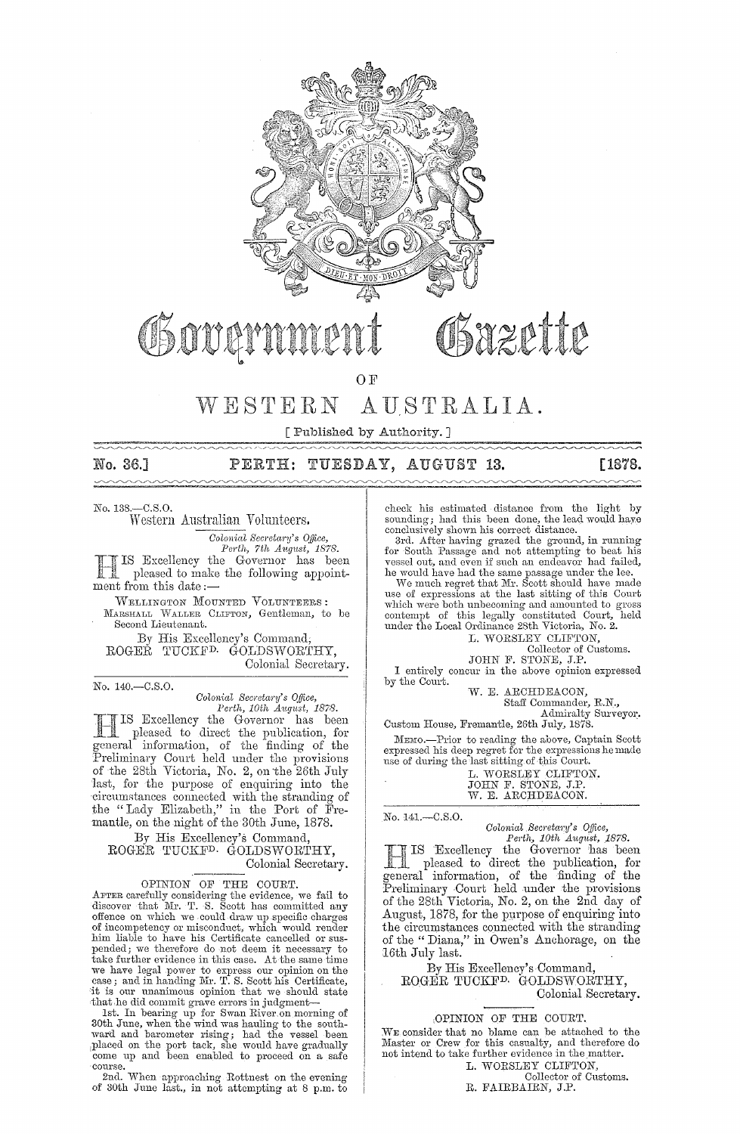

OF

#### WESTERN AUSTRALIA.

[ Published by Authority.]

No. 36.]

#### PERTH: TUESDAY, AUGUST 13.

[1878.

No. 138, - C.S.O.

Western Australian Volunteers.

Colonial Secretary's Office,

Perth, 7th August, 1878.<br>IS Excellency the Governor has been pleased to make the following appointment from this date :-

WELLINGTON MOUNTED VOLUNTEERS: MARSHALL WALLER CLIFTON, Gentleman, to be Second Lieutenant.

By His Excellency's Command, ROGEŘ TUCKF<sup>D.</sup> GOLDSWORTHY, Colonial Secretary.

No. 140.-C.S.O.

Colonial Secretary's Office,

Colonial Secretary's Office,<br>Perth, 10th August, 1878.<br>The Bessel of Governor has been<br>pleased to direct the publication, for<br>general information, of the finding of the Preliminary Court held under the provisions<br>of the 28th Victoria, No. 2, on the 26th July<br>last, for the purpose of enquiring into the rase, for the purpose of enquiring into the<br>circumstances connected with the stranding of<br>the "Lady Elizabeth," in the Port of Fre-<br>mantle, on the night of the 30th June, 1878.

By His Excellency's Command, ROGER TUCKF<sup>D.</sup> GOLDSWORTHY, Colonial Secretary.

### OPINION OF THE COURT.

AFTER carefully considering the evidence, we fail to discover that Mr. T. S. Scott has committed any offence on which we could draw up specific charges of incompetency or misconduct, which would render him liable to have his Certificate cancelled or suspended; we therefore do not deem it necessary to<br>take further evidence in this case. At the same time we have legal power to express our opinion on the case; and in handing Mr. T. S. Scott his Certificate, it is our unanimous opinion that we should state

To is our unanimous opinion that we should state<br>that he did commit grave errors in judgment—<br>Ist. In bearing up for Swan River on morning of<br>30th June, when the wind was hauling to the south-<br>ward and barometer rising; ha

course. The approaching Rottnest on the evening<br>2nd. When approaching Rottnest on the evening of 30th June last., in not attempting at 8 p.m. to

check his estimated distance from the light by sounding; had this been done, the lead would have conclusively shown his correct distance.

conclusively shown his correct distance.<br>
3rd. After having grazed the ground, in running<br>
for South Passage and not attempting to beat his<br>
vessel out, and even if such an endeavor had failed,<br>
he would have had the same

which were both unbecoming and amounted to gross contempt of this legally constituted Court,<br>under the Local Ordinance 28th Victoria, No. 2.<br>L. WORSLEY CLIFTON, held

Collector of Customs.<br>JOHN F. STONE, J.P.

I entirely concur in the above opinion expressed by the Court.

W. E. ARCHDEACON,

Staff Commander, R.N.,

Admiralty Surveyor.

Custom House, Fremantle, 26th July, 1878. MEMO.-Prior to reading the above, Captain Scott expressed his deep regret for the expressions he made<br>use of during the last sitting of this Court.

| L. WORSLEY CLIFTON. |  |
|---------------------|--|
| JOHN F. STONE, J.P. |  |
| W. E. ARCHDEACON.   |  |

No. 141.-C.S.O.

Colonial Secretary's Office,<br>
Perth, 10th August, 1878.<br>
The Breedlency the Governor has been<br>
pleased to direct the publication, for<br>
general information, of the finding of the<br>
pleased to direct the finding of the Preliminary Court held under the provisions<br>of the 28th Victoria, No. 2, on the 2nd day of August, 1878, for the purpose of enquiring into the circumstances connected with the stranding of the "Diana," in Owen's Anchorage, on the 16th July last.

By His Excellency's Command, ROGER TUCKF<sup>D.</sup> GOLDSWORTHY, Colonial Secretary.

# OPINION OF THE COURT.

WE consider that no blame can be attached to the Master or Crew for this casualty, and therefore do not intend to take further evidence in the matter. L. WORSLEY CLIFTON,

Collector of Customs.<br>R. FAIRBAIRN, J.P.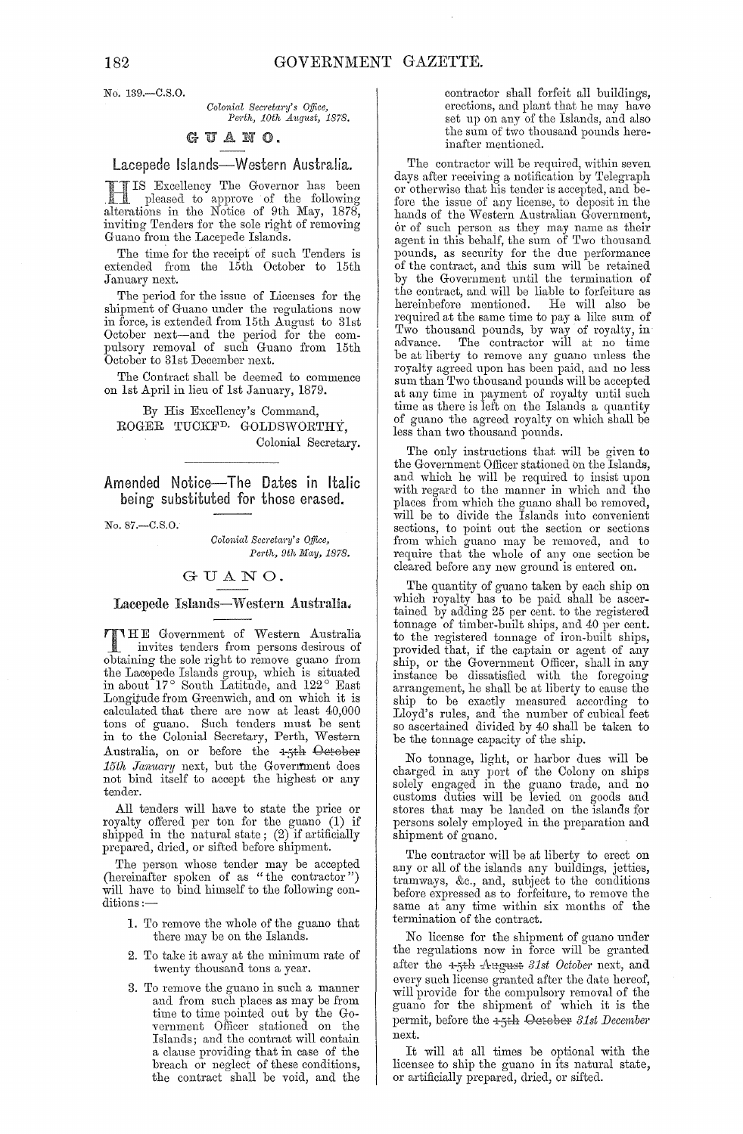No. 139 .- C.S.O.

 $Colonial$  Secretary's Office, *Pej·th, 10th* AUglwt, *1878.* 

# UANO.

# Lacepede Islands-Western Australia.

**HIS Excellency The Governor has been**<br>pleased to approve of the following<br>alterations in the Notice of 9th May 1878 alterations in the Notice of 9th May, 1878, inviting Tenders for the sole right of removing Guano from the Lacepede Islands.

The time for the receipt of such Tenders is extended from the 15th October to 15th January next.

The period for the issue of Licenses for the shipment of Guano under the regulations now in force, is extended from 15th August to 31st October next-and tbe period for the compulsory removal of such Guano from 15th October to 31st December next.

The Contract shall be deemed to commence on 1st April in lieu of 1st January, 1879.

By His Excellency's Command, ROGER TUCKF<sup>D.</sup> GOLDSWORTHY, Colonial Secretary.

Amended Notice-The Dates in Italic being substituted for those erased.

No. 87.--C.S.O.

*Colonial Secretary's Office, Pel'th, 9th May, 1878.* 

# GUANO.

# Lacepede Islands-Western Australia.

T HE Government of Western Australia I invites tenders from persons desirous of obtaining the sole right to remove guano from the Lacepede Islands group, whicb is situated in about  $17^{\circ}$  South Latitude, and  $122^{\circ}$  East Longitude from Greenwich, and on which it is calculated that there are now at least 40,000 tons of guano. Such tenders must be sent in to the Colonial Secretary, Perth, Western Australia, on or before the  $-1.5th$  October *15th January* next, but the Govenfment does not bind itself to accept the highest or any tender.

All tenders will have to state the price or royalty offered per ton for the guano (1) if shipped in the natural state;  $(2)$  if artificially prepared, dried, or sifted before shipment.

The person whose tender may be accepted (hereinafter spoken of as "the contractor") will have to bind himself to the following conditions  $:$ 

- 1. To remove the whole of the guano that there may be on the Islands.
- 2. To take it away at the minimum rate of twenty thousand tons a year.
- 3. To remove the guano in such a manner and from such places as may be from time to time pointed out by the Government Officer stationed on the Islands; and the contract will contain a clause providing that in case of the breach or neglect of these conditions, the contract shall be void, and the

contractor shall forfeit all buildings, erections, and plant that he may have set up on any of the Islands, and also the sum of two thousand pounds hereinafter mentioned.

The contractor will be required, within seven days after receiving a notification by Telegraph or otherwise that his tender is accepted, and before the issue of any license, to deposit in the hands of the Western Australian Government, or of such person. as they may name as their agent in this behalf, the sum of Two thousand pounds, as security for the due performance of the contract, and this sum will be retained by the Government until the termination of the contract, and will be liable to forfeiture as<br>hereinbefore mentioned. He will also be hereinbefore mentioned. required at the same time to pay a like sum of Two thousand pounds, by way of royalty, in advance. The contractor will at no time be at liberty to remove any guano unless the royalty ngreed upon has been paid, and no less sum than Two thousand pounds will be accepted at any time in payment of royalty until such time as there is left on the Ishmds a quantity of guano the agreed royalty on which shall be less than two thonsand pounds.

The only instructions that will be given to the Government Officer stationed bn the Islands, and which he will be required to insist upon with regard to the manner in wbich and the places from which the guano shall be removed, will be to divide the Islands into convenient sections, to point out the section or sections from which guano may be removed, and to require that the whole of anyone section be cleared before any new ground is entered on.

The quantity of guano taken by each ship on which royalty has to be paid shall be ascertained by adding 25 per cent. to the registered tonnage of timber-built ships, and 40 per cent. to the registered tonnage of iron-built ships, provided that, if the captain or agent of any ship, or the Government Officer, shall in any instance be dissatisfied with the foregoing arrangement, he shall be at liberty to cause the ship to be exactly measured according to Lloyd's rules, and the number of cubical feet so ascertained divided by 40 shall be taken to be the tonnage capacity of the ship.

No tonnage, light, or harbor dues will be charged in any port of the Colony on ships solely engaged in the guano trade, and no customs duties will be levied on goods and stores that may be landed on the islands for persons solely employed in the preparation and shipment of guano.

The contractor will be at liberty to erect on any or all of the islands any buildings, jetties, tramways, &c., and, subject to the conditions before expressed as to forfeiture, to remove the same at any time within six months of the termination of the contract.

No license for the shipment of guano under the regulations now in force will be granted after the 1-5<sup>th</sup> August 31st October next, and every such license granted after the date hereof, will provide for the compulsory removal of the guano for the shipment of which it is the permit, before the +5th Oetober 31st December next.

It will at all times be optional with the licensee to ship the guano in its natural state, or artificially prepared, dried, or sifted.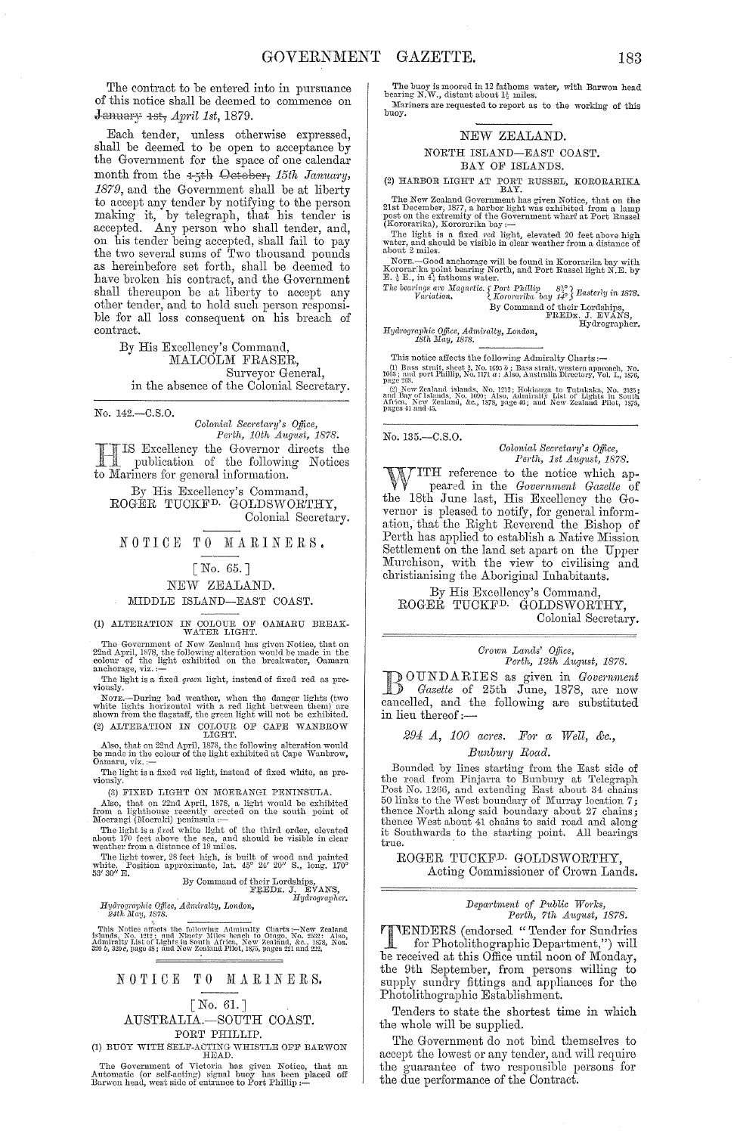The contract to be entered into in pursuance of this notice shall be deemed to commence on  $\frac{1}{2}$  January 4st,  $\frac{1}{3}$  April 1st, 1879.

Each tender, unless otherwise expressed, shall be deemed to be open to acceptance by the Government for the space of one calendar month from the 4-5th Cetober, 15th January, 1879, and the Government shall be at liberty to accept any tender by notifying to the person making it, by telegraph, that his tender is accepted. Any person who shall tender, and,<br>on his tender being accepted, shall fail to pay<br>the two several sums of Two thousand pounds as hereinbefore set forth, shall be deemed to have broken his contract, and the Government shall thereupon be at liberty to accept any other tender, and to hold such person responsible for all loss consequent on his breach of contract.

> By His Excellency's Command, MALCOLM FRASER, Surveyor General, in the absence of the Colonial Secretary.

No. 142.-C.S.O.

Colonial Secretary's Office,<br>Perth, 10th August, 1878.

IS Excellency the Governor directs the publication of the following Notices to Mariners for general information.

By His Excellency's Command. ROGÉR TUCKF<sup>D.</sup> GOLDSWORTHY. Colonial Secretary.

NOTICE TO MARINERS.

# [No.  $65.$ ]

NEW ZEALAND.

#### MIDDLE ISLAND-EAST COAST.

(1) ALTERATION IN COLOUR OF OAMARU BREAK-WATER LIGHT.

The Government of New Zealand has given Notice, that on<br>22nd April, 1878, the following alteration would be made in the<br>colour of the light exhibited on the breakwater, Oamaru<br>anchorage, viz.:

The light is a fixed green light, instead of fixed red as previously.

Noway.<br>The Borne-During bad weather, when the danger lights (two white lights horizontal with a red light between them) are shown from the flagstaff, the green light will not be exhibited. (2) ALTERATION IN COLOUR OF CAPE WANBROW LIGHT.

Also, that on 22nd April, 1878, the following alteration would<br>be made in the colour of the light exhibited at Cape Wanbrow,<br>Oamaru, viz.:-

The light is a fixed red light, instead of fixed white, as previously

(3) FIXED LIGHT ON MOERANGI PENINSULA.

(3) FIXED LIGHT ON MOERANGI PENINSULA.<br>
Also, that on 22nd April, 1878, a light would be exhibited<br>
from a lighthouse recently erceted on the south point of<br>
Moerangi (Moeraki) peninsula :—<br>
The light is a *fixed* white l

TOXIMATE: AND THE LOTESHIPS,<br>By Command of their Lordships,<br>FREDE. J. EVANS,<br>Hydrographer. wnite. F<br>53' 30" E.

Hydrographic Office, Admiralty, London,<br>24th May, 1878.

This Notice affects the following Admiralty Charts:—New Zealand Admiralty S. a. 1212; and Ninety Miles beach to Otago, No. 2532: Also, Admiralty List of Lights in South Africa, New Zealand, &c., 1878, Nos. 329 b, 329c, pa

### NOTICE TO MARINERS.

# [No. 61.] AUSTRALIA.-SOUTH COAST. PORT PHILLIP.

(1) BUOY WITH SELF-ACTING WHISTLE OFF BARWON<br>
The Government of Victoria has given Notice, that an<br>
Automatic (or self-acting) signal buoy has been placed off<br>
Barwon head, west side of entrance to Port Phillip:-

The buoy is moored in 12 fathoms water, with Barwon head bearing N.W., distant about  $1\frac{1}{2}$  miles. Mariners are requested to report as to the working of this buoy.

#### NEW ZEALAND.

NORTH ISLAND-EAST COAST. BAY OF ISLANDS.

(2) HARBOR LIGHT AT PORT RUSSEL, KORORARIKA BAY.

The New Zealand Government has given Notice, that on the 21st December, 1877, a harbor light was exhibited from a lamp post on the extremity of the Government wharf at Port Russel (Kororarika), Kororarika bay :—<br>
The light

NOTE.—Good anchorage will be found in Kororarika bay with<br>Kororarika point bearing North, and Port Russel light N.E. by<br>E.  $\frac{1}{2}$  E., in 4: fathoms water.

The bearings are Magnetic.  $\{Port \ Philip \ \ s_2^{\alpha} \}$  Easterly in 1878.<br>Variation, { Nororarika bay  $14^{\circ}$  } Easterly in 1878. (Rororarika ouy 12)<br>By Command of their Lordships,<br>FREDR. J. EVANS,<br>Hydrographer.

Hydrographic Office, Admiralty, London,<br>18th May, 1878.

This notice affects the following Admiralty Charts:<br> $\hspace{-.07cm}-\hspace{-.07cm}$ 

(1) Bass strait, sheet 2, No. 1695  $b$ ; Bass strait, western approach, No. 1693; and port Phillip, No. 1171  $a$ : Also, Australia Directory, Vol. I., 1876, page 268.

response to the Manufacture of the Manufacture of the and Bay of Islands, No. 1922; Hokianga to Tutulian, No. 2925; and Bay of Islands, No. 1099; Also, Admiralty List of Lights in South Africa, New Zealand, &c., 1878, page

No. 135.-C.S.O.

# Colonial Secretary's Office,<br>Perth, 1st August, 1878.

TITH reference to the notice which appeared in the Company V peared in the Government Gazette of the 18th June last, His Excellency the Governor is pleased to notify, for general information, that the Right Reverend the Bishop of Perth has applied to establish a Native Mission Settlement on the land set apart on the Upper Murchison, with the view to civilising and christianising the Aboriginal Inhabitants.

By His Excellency's Command, ROGER TUCKF<sup>D.</sup> GOLDSWORTHY, Colonial Secretary.

# Crown Lands' Office,<br>Perth, 12th August, 1878.

DOUNDARIES as given in *Government*<br> *Gazette* of 25th June, 1878, are now<br>
cancelled, and the following are substituted in lieu thereof:-

## 294 A, 100 acres. For a Well, &c., Bunbury Road.

Bounded by lines starting from the East side of<br>the road from Pinjarra to Bunbury at Telegraph<br>Post No. 1266, and extending East about 34 chains<br>50 links to the West boundary of Murray location 7; stated the North along said boundary about 27 chains;<br>thence North along said boundary about 27 chains; it Southwards to the starting point. All bearings true.

ROGER TUCKF<sup>D.</sup> GOLDSWORTHY, Acting Commissioner of Crown Lands.

# Department of Public Works,<br>Perth, 7th August, 1878.

TENDERS (endorsed "Tender for Sundries<br>for Photolithographic Department "\ will for Photolithographic Department,") will be received at this Office until noon of Monday, the 9th September, from persons willing to<br>supply sundry fittings and appliances for the Photolithographic Establishment.

Tenders to state the shortest time in which the whole will be supplied.

The Government do not bind themselves to accept the lowest or any tender, and will require the guarantee of two responsible persons for<br>the due performance of the Contract.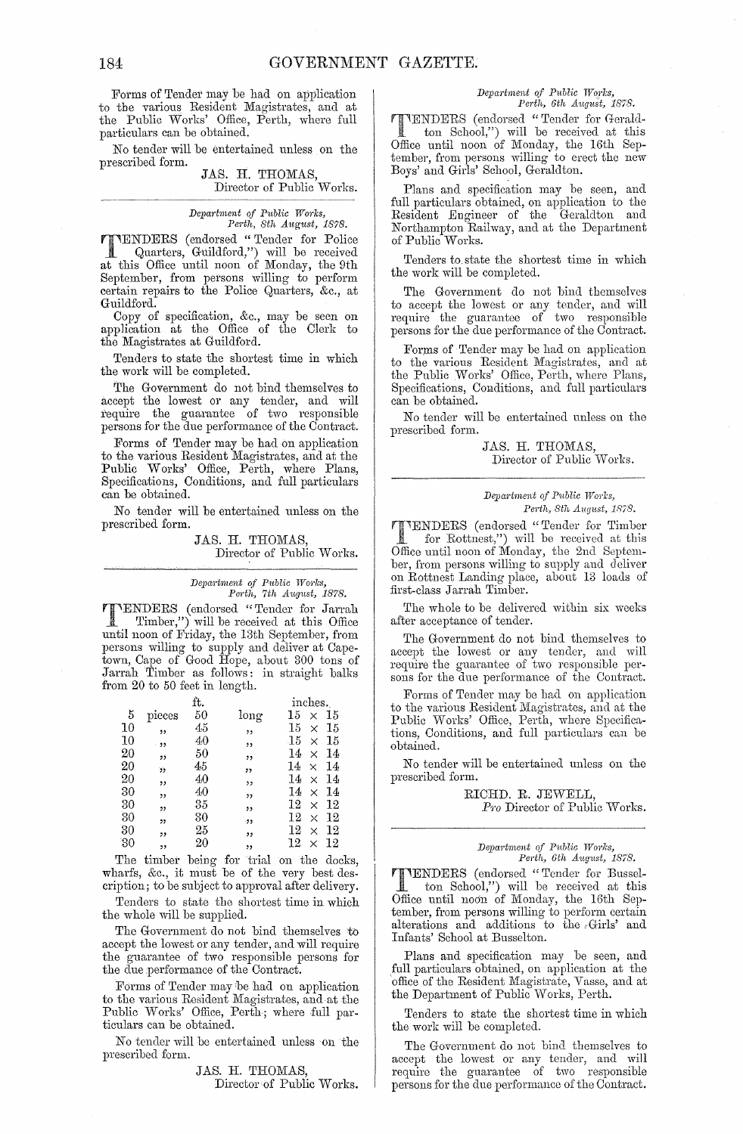Forms of Tender may be had on application to the various Resident Magistrates, and at the Public Works' Office, Perth, where full particulars can be obtained.

No tender will be entertained unless on the prescribed form.

#### JAS. H. THOMAS, Director of Public Works.

*Department of Public Works, Perth, 8th A1tgust, 1878.* 

TENDERS (endorsed "Tender for Police<br>Quarters, Guildford,") will be received Quarters, Guildford,") will be received at this Office until noon of Monday, the 9th September, from persons willing to perform certain repairs to the Police Quarters, &c., at Guildford.

Copy of specification, &c., may be seen on application at the Office of the Clerk to the Magistrates at Guildford.

Tenders to state the shortest time in which the work will be completed.

The Government do not bind themselves to accept the lowest or any tender, and will l'equire the guarantee of two responsible persons for the due performance of the Contract.

Forms of Tender may be had on application to the various Resident Magistrates, and at the Public Works' Office, Perth, where Plans, Specifications, Conditions, and full particulars can be obtained.

No tender will be entertained unless on the prescribed form.

> JAS. H. THOMAS, Director of Public Works.

*Depaj·tment of P1tbUc WOj'7cs, Perth, 7th August, 1878.* 

TENDERS (endorsed "Tender for Jarrah") Timber,") will be received at this Office until noon of Friday, the 13th September, from persons willing to supply and deliver at Capetown, Cape of Good Hope, about 300 tons of Jarrah Timber as follows: in straight balks from 20 to 50 feet in length.

|                 |              | ft. |             | inches.              |  |  |  |  |
|-----------------|--------------|-----|-------------|----------------------|--|--|--|--|
| 5               | $\rm pieces$ | 50  | long        | 15<br>15<br>$\times$ |  |  |  |  |
| 10              | ,,           | 45  | ,           | 15<br>15<br>$\times$ |  |  |  |  |
| 10              | $-22$        | 40  | ,,          | 15<br>15<br>$\times$ |  |  |  |  |
| 20              | ,,           | 50  | ,,          | 14<br>14<br>$\times$ |  |  |  |  |
| 20              | 55           | 45  | $^{\prime}$ | 14<br>14<br>$\times$ |  |  |  |  |
| 20              | ,,           | 40  | ,,          | 14<br>14<br>$\times$ |  |  |  |  |
| 30              | ,,           | 40  | 55          | 14<br>14<br>$\times$ |  |  |  |  |
| 30              | ,,           | 35  | "           | 12<br>12<br>$\times$ |  |  |  |  |
| 30              | ,,           | 30  | .93         | 12<br>12<br>$\times$ |  |  |  |  |
| 30              | "            | 25  | ,,          | 12<br>12<br>$\times$ |  |  |  |  |
| 30 <sup>°</sup> | ,,           | 20  | "           | 12<br>12<br>$\times$ |  |  |  |  |

The timber being for trial on the docks, wharfs, &c., it must be of the very best description; to be subject to approval after delivery.

Tenders to state the shortest time in which the whole will be supplied.

The Government do not bind themselves to accept the lowest or any tender, and will require the guarantee of two responsible persons for the due performance of the Contract.

Forms of Tender maybe had on application to the various Resident Magistrates, and at the Public Works' Office, Perth; where full particulars can be obtained.

No tender will be entertained unless on the prescribed form.

> JAS. H. THOMAS, Director of Public Works.

# *Department of Public Works,*<br>Perth, 6th August, 1878.

**TIENDERS** (endorsed "Tender for Gerald-<br>ton School,") will be received at this<br>Office until noon of Monday the 16th Son-Office until noon of Monday, the 16th September, from persons willing to erect the new Boys' and Girls' School, Geraldton.

Plans and specification may be seen, and full particulars obtained, on application to the Resident Engineer of the Geraldton and Northampton Railway, and at the Department of Public Works.

Tenders to. state the shortest time in which the work will be completed.

The Government do not bind themselves to accept the lowest or any tender, and will require the guarantee of two responsible persons for the due performance of the Contract.

Forms of Tender may be had on application to the various Resident Magistrates, and at the Public Works' Office, Perth, where Plans, Specifications, Conditions, and full particulars can be obtained.

No tender will be entertained unless on the prescribed form.

> JAS. H. THOMAS, Director of Public Works.

#### *Department of Public Works,*  $Perth, Sth\; August,$  1878.

TENDERS (endorsed "Tender for Timber for Rottnest,") will be received at this Office until noon of Monday, the 2nd September, from persons willing to supply and deliver on Rottnest Landing place, about 13 loads of first-class Jarrah Timber.

The whole to be delivered within six weeks after acceptance of tender.

The Government do not bind themselves to accept the lowest or any tender, and will require the guarantee of two responsible persons for the due performance of the Contract.

Forms of Tender may be had on application to the various Resident Magistrates, and at the Public Works' Office, Perth, where Specifications, Conditions, and full particulars can be obtained.

No tender will be entertained unless on the prescribed form.

> RICHD. R. JEWELL, Pro Director of Public Works.

*Department of Public Works,*<br> *Perth, 6th August, 1878.* 

TENDERS (endorsed "Tender for Busselton School,") will be received at this Office until noon of Monday, the 16th September, from persons willing to perform certain alterations and additions to the  $\epsilon$ Girls' and Infants' School at Busselton.

Plans and specification may be seen, and full particulars obtained, on application at the office of the Resident Magistrate, Vasse, and at the Department of Public Works, Perth.

Tenders to state the shortest time in which the work will be completed.

The Government do not bind themselves to accept the lowest or any tender, and will require the guarantee of two responsible persons for the due performance of the Contract.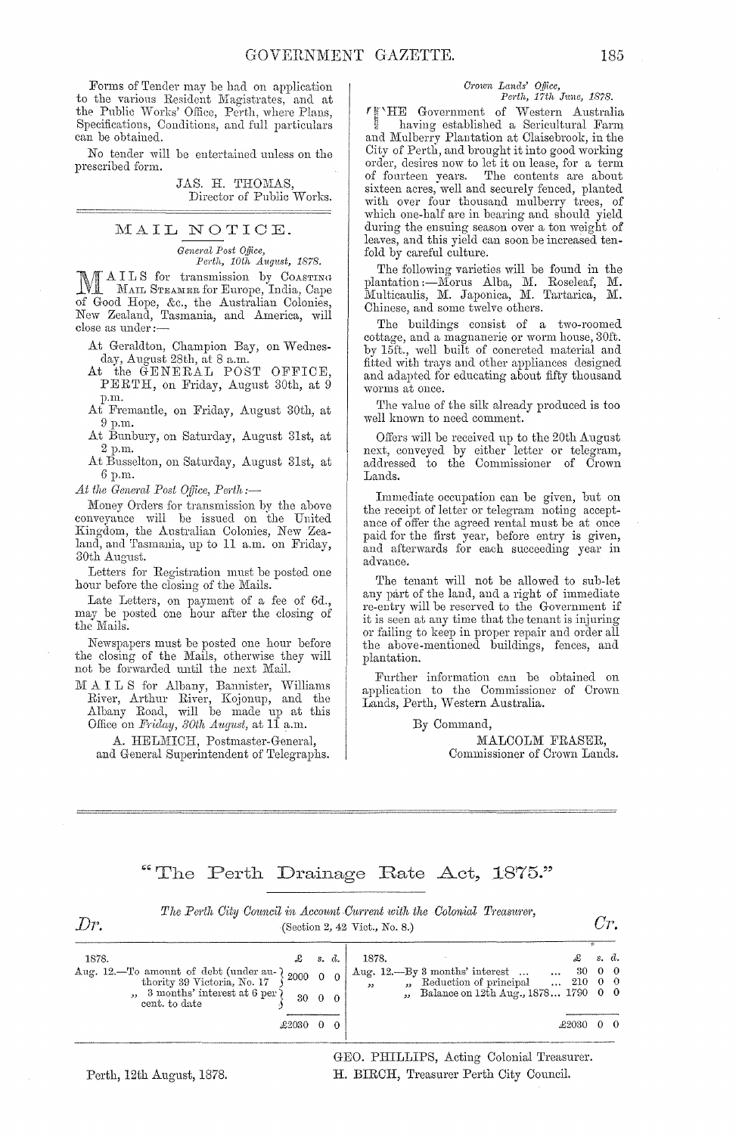Forms of Tender may be had on application to the various Resident Magistrates, and at the Public Works' Office, Perth, where Plans, Specifications, Conditions, and full particulars can be obtained.

No tender will be entertained unless on the prescribed form.

> JAS. H. THOMAS, Director of Public Works.

MAIL NOTICE. *General Post Office,*<br>*Perth, 10th August, 1878.* 

*Perth, 10th August, 1878.*<br> **MALLS** for transmission by COASTING MAILS for transmission by COASTING of Good Hope, &c., the Australian Colonies, New Zealand, Tasmania, and America, will close as under:--

At Geraldton, Champion Bay, on Wednesday, August 28th, at 8 a.m.

At the GENERAL POST OFFICE, PERTH, on Friday, August 30th, at 9 p.m.

At Fremantle, on Friday, August 30th, at 9p.m.

At Bunbury, on Saturday, August 31st, at 2 p.m.

At Busselton, on Saturday, August 31st, at 6p.m.

*At the General Post Office, Perth*;—

Money Orders for transmission by the above conveyance will be issued on the United Kingdom, the Australian Colonies, New Zealand, and Tasmania, up to 11 a.m. on Friday, 30th August.

Letters for Registration must be posted one hour before the closing of the Mails.

Late Letters, on payment of a fee of 6d., may be posted one hour after the closing of the Mails.

Newspapers must be posted one hour before the closing of the Mails, otherwise they will not be forwarded until the next Mail.

]\/1 A I L S for Albany, Bannister, Vlilliams River, Arthur River, Kojonup, and the Albany Road, will be made up at this Office on *Friday, 30th August*, at 11 a.m.

A. HELMICH, Postmaster-General, and General Superintendent of Telegraphs.

*Crown Lands' Office,*<br>Perth, 17th June, 1878. *Pel'th, 17th J1me, 1878.* 

r!J 'HE Government of vVestern Australia, <sup>~</sup>having established a Sericultural Farm and Mulberry Plantation at Claisebrook, in the City of Perth, and brought it into good working order, desires now to let it on lease, for a term of fourteen years. The contents are about sixteen acres, well and securely fenced, planted with over four thousand mulberry trees, of which one-half are in bearing and should yield during the ensuing season over a ton weight of leaves, and this yield can soon be increased tenfold by careful culture.

The following varieties will be found in the plantation :—Morus Alba, M. Roseleaf, M. Multicaulis, M. Japonica, M. Tartarica, M. Chinese, and some twelve others.

The buildings consist of a two-roomed cottage, and a magnanerie or worm house, 30ft. by 15ft., well built of concreted material and fitted with trays and other appliances designed and adapted for educating about fifty thousand worms at once.

The value of the silk already produced is too well known to need comment.

Offers will be received up to the 20th August next, conveyed by either letter or telegram, addressed to the Commissioner of Crown Lands.

Immediate occupation can be given, but on the receipt of letter or telegram noting acceptance of offer the agreed rental must be at once paid for the first year, before entry is given, and afterwards for each succeeding year in advance.

The tenant will not be allowed to sub-let any part of the land, and a right of immediate re-entry will be reserved to the Government if it is seen at any time that the tenant is injuring or failing to keep in proper repair and order all the above-mentioned buildings, fences, and plantation.

Further information can be obtained on application to the Commissioner of Crown Lands, Perth, Western Australia.

By Command,

MALCOLM FRASER, Commissioner of Crown Lands.

# "The Perth Drainage Rate Act, 1875."

| Dr.                                                                                                                               |                                                          |          |                | The Perth Cuy Council in Account Current with the Colomal Treasurer,<br>(Section 2, 42 Vict., No. 8.)                                                           |                                          |       | Cr.         |
|-----------------------------------------------------------------------------------------------------------------------------------|----------------------------------------------------------|----------|----------------|-----------------------------------------------------------------------------------------------------------------------------------------------------------------|------------------------------------------|-------|-------------|
| 1878.<br>Aug. 12.—To amount of debt (under au- )<br>thority 39 Victoria, No. 17<br>3 months' interest at 6 per )<br>cent. to date | $\mathcal{L}$ s.d.<br>$-2000$ 0 0<br>30<br>$\pounds2030$ | $\theta$ | 0 <sub>0</sub> | 1878.<br>Aug. 12.-By 3 months' interest<br><b>Contract</b><br>" Reduction of principal<br>55<br>Balance on 12th Aug., 1878 1790 0 0<br>$\overline{\phantom{a}}$ | £<br>30 0 0<br>$\ldots$ 210 0 0<br>£2030 | s. d. | $0 \quad 0$ |

*The Perth City Council in Account Current with the Colonial Treasurer,* 

GEO. PHILLIPS, Acting Colonial Treasurer. H. BIRCH, Treasurer Perth City Council.

Perth, 12th August, 1878.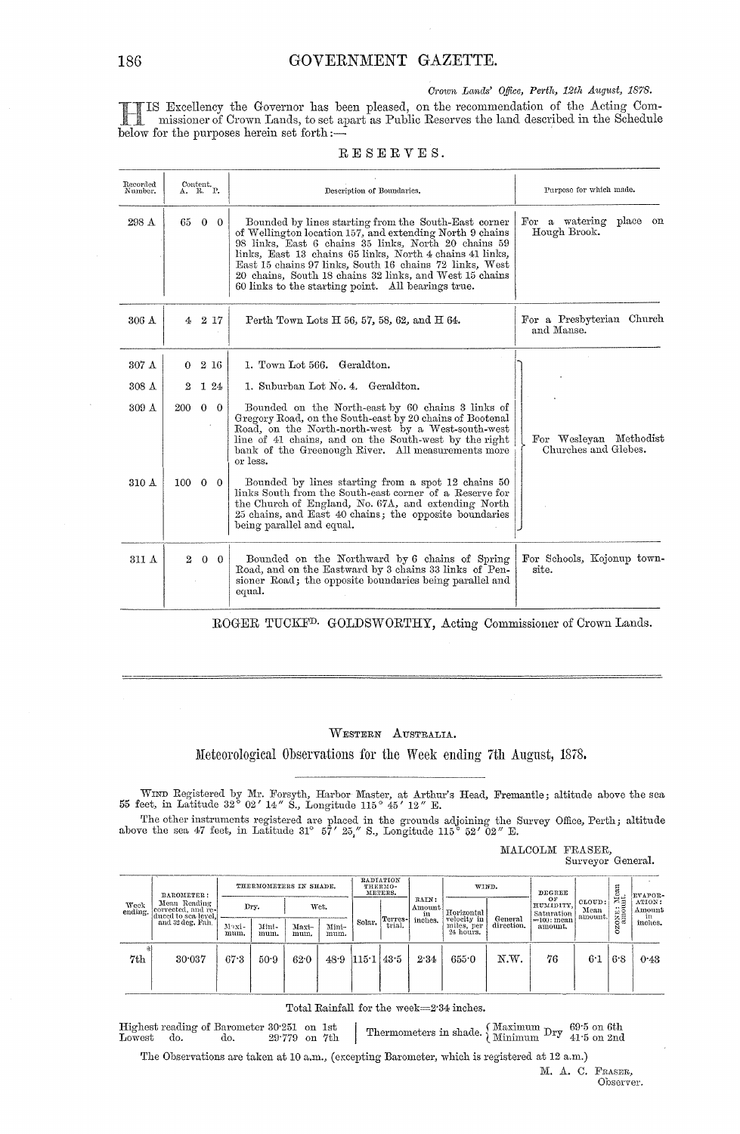*Crown Lands' Office, Perth, 12th August, 1878.* 

IIS Excellency the Governor has been pleased, on the recommendation of the Acting Commissioner of Crown Lands, to set apart as Public Reserves the land described in the Schedule helow for the nurnoses herein set forth :... **below for the Governor has below for the purposes herein set forth:**-

|  |  |  |  | RESERVES. |  |
|--|--|--|--|-----------|--|
|  |  |  |  |           |  |
|  |  |  |  |           |  |

| Recorded<br>Number. | Content.<br>A. R. P. |                    |  |                                                                                                                                                                                                                                                                                                                                                                                                                  |                                                                 |  | Description of Boundaries. | Purpose for which made. |
|---------------------|----------------------|--------------------|--|------------------------------------------------------------------------------------------------------------------------------------------------------------------------------------------------------------------------------------------------------------------------------------------------------------------------------------------------------------------------------------------------------------------|-----------------------------------------------------------------|--|----------------------------|-------------------------|
| 298 A               | 65                   | $0\quad 0$         |  | Bounded by lines starting from the South-East corner<br>of Wellington location 157, and extending North 9 chains<br>98 links, East 6 chains 35 links, North 20 chains 59<br>links, East 13 chains 65 links, North 4 chains 41 links,<br>East 15 chains 97 links, South 16 chains 72 links, West<br>20 chains, South 18 chains 32 links, and West 15 chains<br>60 links to the starting point. All bearings true. | For a watering<br>$_{\rm place}$<br>$_{\rm on}$<br>Hough Brook. |  |                            |                         |
| 306 A               |                      | $4\quad 2\quad 17$ |  | Perth Town Lots H 56, 57, 58, 62, and H 64.                                                                                                                                                                                                                                                                                                                                                                      | For a Presbyterian Church<br>and Manse.                         |  |                            |                         |
| 307 A               | 0                    | 2 16               |  | 1. Town Lot 566. Geraldton.                                                                                                                                                                                                                                                                                                                                                                                      |                                                                 |  |                            |                         |
| 308A                | $\boldsymbol{2}$     | 124                |  | 1. Suburban Lot No. 4. Geraldton.                                                                                                                                                                                                                                                                                                                                                                                |                                                                 |  |                            |                         |
| 309A                | 200                  | $0\quad 0$         |  | Bounded on the North-east by 60 chains 3 links of<br>Gregory Road, on the South-east by 20 chains of Bootenal<br>Road, on the North-north-west by a West-south-west<br>line of 41 chains, and on the South-west by the right<br>bank of the Greenough River. All measurements more<br>or less.                                                                                                                   | For Wesleyan Methodist<br>Churches and Glebes.                  |  |                            |                         |
| 310 A               | $100 \t 0 \t 0$      |                    |  | Bounded by lines starting from a spot 12 chains 50<br>links South from the South-east corner of a Reserve for<br>the Church of England, No. 67A, and extending North<br>25 chains, and East 40 chains; the opposite boundaries<br>being parallel and equal.                                                                                                                                                      |                                                                 |  |                            |                         |
| 311 A               | $^{2}$               | $0\quad 0$         |  | Bounded on the Northward by 6 chains of Spring<br>Road, and on the Eastward by 3 chains 33 links of Pen-<br>sioner Road; the opposite boundaries being parallel and<br>equal.                                                                                                                                                                                                                                    | For Schools, Kojonup town-<br>site.                             |  |                            |                         |

ROGER TUCKFD. GOLDSWORTHY, Acting Commissioner of Crown Lands.

### WESTERN AUSTRALIA.

Meteorological Observations for the Week ending 7th August, 1878.

WIND Registered by Mr. Forsyth, Harbor Master, at Arthur's Head, Fremantle; altitude above the sea 55 feet, in Latitude 32° 02' 14" S., Longitude 115° 45' 12" E.

The other instruments registered are placed in the grounds adjoining the Survey Office, Perth; altitude above the sea 47 feet, in Latitude 310 57' *25,"* S., Longitude 115 0 52' *02"* E.

MALCOLM FRASER,

Surveyor General.

| Week<br>ending. | BAROMETER:<br>Mean Reading<br>corrected, and re-<br>duced to sea level.<br>and 32 deg. Fah. | THERMOMETERS IN SHADE. |               |               |               | RADIATION<br>THERMO-<br>METERS. |  | WIND.             |                                  | DEGREE                                                                        |                               | я                         | EVAPOR-                     |                  |
|-----------------|---------------------------------------------------------------------------------------------|------------------------|---------------|---------------|---------------|---------------------------------|--|-------------------|----------------------------------|-------------------------------------------------------------------------------|-------------------------------|---------------------------|-----------------------------|------------------|
|                 |                                                                                             |                        |               | Dry.<br>Wet.  |               |                                 |  | Terres-<br>trial. | RAIN:<br>Amount<br>in<br>inches. | Horizontal<br>velocity in<br>General<br>direction.<br>miles, per<br>24 hours. | OF<br>HUMIDITY.<br>Saturation | CLOUD:<br>Mean<br>amount. | <b>2000</b><br>Manushington | ATION:<br>Amount |
|                 |                                                                                             | Maxi-<br>mum.          | Mini-<br>mum. | Maxi-<br>mum. | Mini-<br>mum. | Solar.                          |  |                   |                                  |                                                                               | == 100 : mean<br>amount.      |                           |                             | in<br>inches.    |
| 7th             | 30.037                                                                                      | 67.3                   | 50.9          | 62.0          |               | $48.9$ 115.1 43.5               |  | 2.34              | 655.0                            | N.W.                                                                          | 76                            | 6.1                       | 6.8                         | 0.43             |

Total Rainfall for the week=2'34 inches.

 ${\rm Higher\;reading\;of\;Barometer\;30^\cdot251\ \ on\ \ 1st} {\rm Lovest\quad\;do.\qquad 29^\cdot779\ \ on\ \ 7th}$  $\begin{array}{l|l} \text{Total Kanfall for the week=2'34 mones.} \end{array}$ <br>  $\begin{array}{l} \text{Highest reading of Barometer 30'251 on 1st} \ \text{Lowest} & \text{do.} \end{array} \quad \begin{array}{l} \text{Themometers in shade.} \ \text{Minimum Dry} & \text{69'5 on 6th} \ \text{Minimum Dry} & \text{41'5 on 2nd} \end{array}$ 

The Observations are taken at 10 a.m., (excepting Barometer, which is registered at 12 a.m.)

M. A. C. FRAsER, Observer.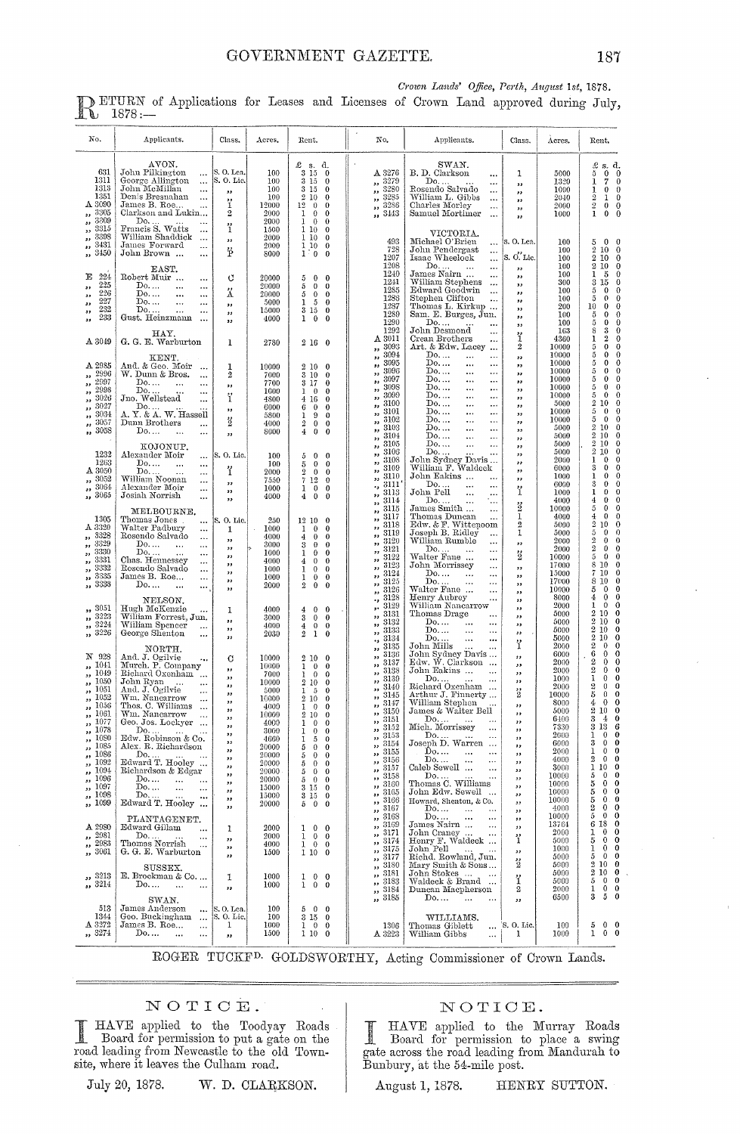| No.                                                                                                                                                                                                                       | Applicants.                                                                                                                                                                                                                                                                                                                                                                                                                                                                                                                                        | Class.                                                                                                                           | Acres.                                                                                                                                                   | Rent.                                                                                                                                                                                                                                                                                                                                                                                                                                           | No.                                                                                                                                                                                                                                                                                                      | Applicants.                                                                                                                                                                                                                                                                                                                                                                                                                     | Class.                                                                                                                                                                         | Acres.                                                                                                                                                   | Rent.                                                                                                                                                                                                                                                                                                                                                                                                                                                                                                                                            |
|---------------------------------------------------------------------------------------------------------------------------------------------------------------------------------------------------------------------------|----------------------------------------------------------------------------------------------------------------------------------------------------------------------------------------------------------------------------------------------------------------------------------------------------------------------------------------------------------------------------------------------------------------------------------------------------------------------------------------------------------------------------------------------------|----------------------------------------------------------------------------------------------------------------------------------|----------------------------------------------------------------------------------------------------------------------------------------------------------|-------------------------------------------------------------------------------------------------------------------------------------------------------------------------------------------------------------------------------------------------------------------------------------------------------------------------------------------------------------------------------------------------------------------------------------------------|----------------------------------------------------------------------------------------------------------------------------------------------------------------------------------------------------------------------------------------------------------------------------------------------------------|---------------------------------------------------------------------------------------------------------------------------------------------------------------------------------------------------------------------------------------------------------------------------------------------------------------------------------------------------------------------------------------------------------------------------------|--------------------------------------------------------------------------------------------------------------------------------------------------------------------------------|----------------------------------------------------------------------------------------------------------------------------------------------------------|--------------------------------------------------------------------------------------------------------------------------------------------------------------------------------------------------------------------------------------------------------------------------------------------------------------------------------------------------------------------------------------------------------------------------------------------------------------------------------------------------------------------------------------------------|
| 631<br>1311<br>1313<br>1351<br>A 3090<br>3305<br>$\bullet$<br>3309<br>,,<br>3315<br>$\overline{\phantom{a}}$<br>3398<br>,,<br>3431                                                                                        | AVON.<br>John Pilkington<br>$\cdots$<br>George Allington<br>$\cdots$<br>John McMillan<br>$\cdots$<br>Denis Bresnahan<br>$\cdots$<br>James B. Roe<br>$\ddotsc$<br>Clarkson and Lukin<br>Do<br><br>Francis S. Watts<br>$\cdots$<br>William Shaddick<br>$\sim$<br>James Forward                                                                                                                                                                                                                                                                       | S. O. Lea.<br> S. O. Lic.<br>33<br>ï<br>$\overline{\mathbf{2}}$<br>$\ddot{i}$<br>$\bullet$                                       | 100<br>100<br>100<br>100<br>12000<br>2000<br>2000<br>1500<br>2000                                                                                        | £s.d.<br>3 15<br>$\bf{0}$<br>315<br>$\mathbf{0}$<br>$\,3\,$<br>$15\,$<br>$\bf{0}$<br>$\,2$<br>10<br>$\bf{0}$<br>12<br>$\mathbf{0}$<br>$\theta$<br>1<br>$\bf{0}$<br>$\theta$<br>$\mathbf 1$<br>$\bf{0}$<br>$\theta$<br>$\mathbf{1}$<br>10 <sup>°</sup><br>$\theta$<br>110<br>$\theta$<br>110<br>$\theta$                                                                                                                                         | A 3276<br>3279<br>,,<br>3280<br>,,<br>3285<br>$\pmb{\mathfrak{z}}$<br>3286<br>,,<br>3443<br>33<br>493                                                                                                                                                                                                    | SWAN.<br>B. D. Clarkson<br>$\ddotsc$<br>Do.<br>$\ddotsc$<br>Rosendo Salvado<br><br>William L. Gibbs<br>$\ddotsc$<br>Charles Morley<br>$\ldots$<br>Samuel Mortimer<br>$\ldots$<br>VICTORIA.<br>Michael O'Brien<br>$\ddotsc$                                                                                                                                                                                                      | 1<br>$\bullet$<br>,,<br>$, \,$<br>$^{\prime}$<br>$\overline{\mathbf{z}}$<br>s. O. Lea.                                                                                         | 5000<br>1320<br>1000<br>2040<br>2000<br>1000<br>100                                                                                                      | $\pounds$ s. d.<br>5<br>$0\quad 0$<br>$\overline{7}$<br>1<br>0<br>$\mathbf{I}$<br>$\bf{0}$<br>$\theta$<br>$\overline{2}$<br>1<br>0<br>$\overline{2}$<br>$\bf{0}$<br>$\mathbf 0$<br>$\mathbf 1$<br>$\theta$<br>$\theta$<br>5<br>$\mathbf 0$<br>$\bf{0}$                                                                                                                                                                                                                                                                                           |
| $\bullet$ $\bullet$<br>3450<br>$\bullet$<br>Ε<br>224<br>225<br>,,<br>226<br>,,<br>227<br>,,<br>232<br>$^{\tiny{\text{31}}}$<br>233<br>,,                                                                                  | <br>John Brown<br><br>EAST.<br>Robert Muir<br><br>Do.<br>$\ddotsc$<br><br>$\mathbf{D_0}$<br>$\ddotsc$<br><br>Do.<br><br><br>Do<br>$\ddotsc$<br><br>Gust. Heinzmann<br>$\ddotsc$                                                                                                                                                                                                                                                                                                                                                                    | ë<br>U<br>Ä<br>,,<br>,,<br>,,                                                                                                    | 2000<br>8000<br>20000<br>20000<br>20000<br>5000<br>15000<br>4000                                                                                         | 1 <sub>0</sub><br>$\bf{0}$<br>5<br>$\bf{0}$<br>0<br>5<br>$\mathbf{0}$<br>$\theta$<br>5<br>$\mathbf{0}$<br>0<br>1<br>$\theta$<br>5<br>3<br>15<br>$\bf{0}$<br>ı<br>$\bf{0}$<br>$\bf{0}$                                                                                                                                                                                                                                                           | 728<br>1207<br>1208<br>1240<br>1241<br>1285<br>1286<br>1287<br>1289<br>1290                                                                                                                                                                                                                              | John Pendergast<br>Isaac Wheelock<br>$\ddotsc$<br>$\cdots$<br>Do<br>$\ddotsc$<br>$\cdots$<br>James Nairn<br>$\cdots$<br>William Stephens<br>$\ddotsc$<br>Edward Goodwin<br>$\cdots$<br>Stephen Clifton<br>$\ddotsc$<br>Thomas L. Kirkup<br>Sam. E. Burges, Jun.<br>Do.                                                                                                                                                          | S. O. Lie.<br>$^{\prime}$<br>,,<br>$\overline{\mathbf{z}}$<br>,,<br>$\overline{\phantom{a}}$<br>,<br>,,<br>$\overline{\phantom{a}}$                                            | 100<br>100<br>100<br>100<br>300<br>100<br>100<br>200<br>100<br>100                                                                                       | $\overline{2}$<br>10<br>0<br>$\overline{2}$<br>10<br>0<br>2 10<br>$\bf{0}$<br>ı<br>5<br>0<br>$\mathbf 3$<br>15<br>0<br>$\theta$<br>5<br>0<br>$\mathbf{o}$<br>5<br>0<br>$\bf{0}$<br>10<br>$\theta$<br>$\bf{0}$<br>5<br>0<br>$\bf{0}$<br>5<br>0                                                                                                                                                                                                                                                                                                    |
| A 3049                                                                                                                                                                                                                    | HAY.<br>G. G. E. Warburton                                                                                                                                                                                                                                                                                                                                                                                                                                                                                                                         | 1                                                                                                                                | 2780                                                                                                                                                     | 2160                                                                                                                                                                                                                                                                                                                                                                                                                                            | 1292<br>A 3011<br>3093<br>,,                                                                                                                                                                                                                                                                             | John Desmond<br>$\ddotsc$<br>Crean Brothers<br><br>Art. & Edw. Lacey<br>$\ddotsc$                                                                                                                                                                                                                                                                                                                                               | ï<br>$\boldsymbol{2}$                                                                                                                                                          | 163<br>4360<br>10000                                                                                                                                     | 8<br>3<br>0<br>ı<br>$\boldsymbol{2}$<br>0<br>$\bf 5$<br>$\bf{0}$<br>0                                                                                                                                                                                                                                                                                                                                                                                                                                                                            |
| A 2985<br>2996<br>,,<br>2997<br>,,<br>2998<br>$\overline{\phantom{a}}$<br>3026<br>,,<br>3027<br>$\overline{\phantom{a}}$<br>3034<br>,,<br>3057<br>,,<br>3058<br>$\overline{\mathbf{a}}$                                   | KENT.<br>And. & Geo. Moir<br>W. Dunn & Bros.<br><br>Do.<br>$\cdots$<br><br>Do<br><br>Jno. Wellstead<br><br>Do<br>A. Y. & A. W. Hassell<br>Dunn Brothers<br><br>Do<br>$\ddotsc$<br>                                                                                                                                                                                                                                                                                                                                                                 | 1<br>$\overline{2}$<br>,,<br>ï<br>,,<br>$\frac{1}{2}$<br>33                                                                      | 10000<br>7000<br>7700<br>1000<br>4800<br>6000<br>5800<br>4000<br>8000                                                                                    | 210<br>$\overline{0}$<br>3<br>$10\,$<br>$\theta$<br>3<br>17<br>0<br>1<br>$\bf{0}$<br>0<br>4<br>16<br>0<br>6<br>$\bf{0}$<br>0<br>1<br>9<br>0<br>$\boldsymbol{2}$<br>$\theta$<br>0<br>$\overline{4}$<br>0<br>0                                                                                                                                                                                                                                    | 3094<br>$\overline{\mathbf{z}}$<br>3095<br>99<br>3096<br>,,<br>3097<br>$\bullet$<br>3098<br>,,<br>3099<br>,,<br>3100<br>,,<br>3101<br>,,<br>3102<br>99<br>3103<br>,,<br>3104<br>,,                                                                                                                       | Do.<br><br>$\cdots$<br>Do.<br><br>$\ddotsc$<br>Do.<br><br>$\ddotsc$<br>Do.<br><br><br>$\mathrm{Do}, \dots$<br>$\ddotsc$<br><br>Do.<br><br>$\ddotsc$<br>Do.<br><br>$\ddotsc$<br>Do.<br><br>$\ddotsc$<br>Do<br><br>$\ddotsc$<br>Do.<br><br><br>Do.<br><br>$\ddotsc$                                                                                                                                                               | ,,<br>,,<br>,,<br>,,<br>,,<br>,,<br>,,<br>,,<br>,,<br>,,<br>,,                                                                                                                 | 10000<br>10000<br>10000<br>10000<br>10000<br>10000<br>5000<br>10000<br>10000<br>5000<br>5000                                                             | 5<br>$\theta$<br>0<br>5<br>0<br>0<br>5<br>$\bf{0}$<br>0<br>5<br>0<br>$\bf{0}$<br>5<br>$\bf{0}$<br>$\bf{0}$<br>5<br>$\bf{0}$<br>0<br>$\,2\,$<br>10<br>0<br>5<br>$\bf{0}$<br>0<br>5<br>$\theta$<br>$\Omega$<br>$\overline{2}$<br>10<br>0<br>$\boldsymbol{2}$<br>10<br>$\bf{0}$                                                                                                                                                                                                                                                                     |
| 1232<br>1263<br>A 3050<br>3052<br>55<br>,, 3064<br>,, 3065                                                                                                                                                                | KOJONUP.<br>Alexander Moir<br>$\cdots$<br>$\mathbf{D_0}$<br>$\ddotsc$<br>$\cdots$<br>Do<br>$\ddotsc$<br>William Noonan<br><br>Alexander Moir<br><br>Josiah Norrish<br>                                                                                                                                                                                                                                                                                                                                                                             | S.O. Lic.<br>ï<br>$\overline{\boldsymbol{r}}$<br>$\overline{\mathbf{z}}$<br>$\overline{\mathbf{z}}$                              | 100<br>100<br>2000<br>7550<br>1000<br>4000                                                                                                               | 5<br>$\bf{0}$<br>0<br>5<br>$\theta$<br>0<br>$\bar{2}$<br>$\theta$<br>0<br>$\overline{7}$<br>12<br>0<br>ı<br>$\bf{0}$<br>0<br>$\overline{4}$<br>$\bf{0}$<br>0                                                                                                                                                                                                                                                                                    | 3105<br>,,<br>3106<br>$, \,$<br>3108<br>$\overline{\phantom{a}}$<br>3109<br>$^{\prime}$<br>3110<br>,,<br>3111<br>٠,<br>3113<br>$\overline{\mathbf{z}}$<br>3114<br>,,                                                                                                                                     | Do<br>$\ddotsc$<br><br>Do<br>John Sydney Davis<br>William F. Waldeck<br>John Eakins<br>Do<br>$\ldots$<br><br>John Pell<br>$\cdots$<br>$\ddotsc$<br>Do<br>$\cdots$<br>٠.,                                                                                                                                                                                                                                                        | ,,<br>,,<br>,,<br>,,<br>,,<br>ï                                                                                                                                                | 5000<br>5000<br>2000<br>6000<br>1000<br>6000<br>1000<br>4000                                                                                             | $\overline{2}$<br>10<br>$\bf{0}$<br>$\overline{2}$<br>10<br>$\bf{0}$<br>ı<br>$\bf{0}$<br>0<br>3<br>$\bf{0}$<br>$\Omega$<br>ı<br>$\bf{0}$<br>$\bf{0}$<br>$\boldsymbol{3}$<br>$\theta$<br>0<br>1<br>0<br>0<br>$\bf 4$<br>$\bf{0}$<br>0                                                                                                                                                                                                                                                                                                             |
| 1305<br>A 3320<br>3328<br>$\bullet$<br>3329<br>$^{\prime \prime}$<br>3330<br>$\bullet$<br>3331<br>,,<br>3332<br>,,<br>3335<br>$\pmb{\mathfrak{z}}$<br>3338<br>55                                                          | MELBOURNE.<br>Thomas Jones<br>$\cdots$<br>Walter Padbury<br><br>Rosendo Salvado<br>$\ddotsc$<br>Do.<br>$\cdots$<br>$\cdots$<br>Do<br>$\cdots$<br><br>Chas. Hennessey<br><br>Rosendo Salvado<br>$\cdots$<br>James B. Roe<br><br>Do<br>$\ddotsc$<br>$\cdots$                                                                                                                                                                                                                                                                                         | S. O. Lic.<br>1<br>,,<br>,,<br>,,<br>, ,<br>,,<br>وو<br>$^{\tiny{\text{32}}}$                                                    | 250<br>1000<br>4000<br>3000<br>1000<br>4000<br>1000<br>1000<br>2000                                                                                      | 12 10<br>$\mathbf{0}$<br>$\theta$<br>$\bf{0}$<br>1<br>4<br>$\bf{0}$<br>0<br>3<br>0<br>$\bf{0}$<br>ı<br>$\bf{0}$<br>$\bf{0}$<br>$\theta$<br>4<br>0<br>1<br>$\bf{0}$<br>0<br>1<br>$\bf{0}$<br>0<br>$\overline{2}$<br>$\bf{0}$<br>0                                                                                                                                                                                                                | 3115<br>,,<br>3117<br>$^{\circ}$<br>3118<br>$\overline{\phantom{a}}$<br>3119<br>$^{\circ}$<br>3120<br>$, \,$<br>3121<br>$\overline{\mathbf{z}}$<br>3122<br>,,<br>3123<br>$\overline{\phantom{a}}$<br>3124<br>,,<br>3125<br>,,<br>3126                                                                    | James Smith<br>$\ddotsc$<br>Thomas Duncan<br>$\cdots$<br>Edw. & F. Wittencom<br>Joseph B. Ridley<br>William Rumble<br><br>Do<br>$\ddotsc$<br><br>Walter Fane<br>$\ddotsc$<br>John Morrissey<br>$\ddotsc$<br>Do<br>$\ddotsc$<br>$\ddotsc$<br>Do<br>$\ddotsc$<br>$\ddotsc$<br>Walter Fane<br>$\ddotsc$                                                                                                                            | $\ddot{2}$<br>$\mathbf 1$<br>$\,2$<br>1<br>,,<br>$\frac{v}{2}$<br>,,<br>دد<br>,,<br>,,                                                                                         | 10000<br>4000<br>5000<br>5000<br>2000<br>2000<br>10000<br>17000<br>15000<br>17000<br>10000                                                               | 5<br>0<br>$\bf{0}$<br>$\overline{4}$<br>$\theta$<br>0<br>$\,2\,$<br>10<br>$\bf{0}$<br>5<br>$\theta$<br>0<br>$\boldsymbol{2}$<br>$\bf{0}$<br>$\Omega$<br>$\boldsymbol{2}$<br>$\bf{0}$<br>$\mathbf 0$<br>$\sqrt{5}$<br>$\bf{0}$<br>0<br>8<br>10<br>$\bf{0}$<br>7<br>$\bf{0}$<br>10<br>$10\,$<br>8<br>0<br>5<br>$\bf{0}$<br>0                                                                                                                                                                                                                       |
| 3051<br>$\bullet$<br>,, 3223<br>,, 3224<br>,, 3226                                                                                                                                                                        | NELSON.<br>Hugh McKenzie<br>$\cdots$<br>William Forrest, Jun.<br>William Spencer<br>$\ddotsc$<br>George Shenton<br>                                                                                                                                                                                                                                                                                                                                                                                                                                | 1<br>$^{\prime}$<br>$, \,$<br>$^{\bullet}$                                                                                       | 4000<br>3000<br>4000<br>2030                                                                                                                             | $\bf{0}$<br>4<br>$\bf{0}$<br>3<br>$\bf{0}$<br>$\bf{0}$<br>$\overline{4}$<br>$\mathbf{0}$<br>$\bf{0}$<br>$\bar{2}$<br>1<br>0                                                                                                                                                                                                                                                                                                                     | $\bullet$<br>3128<br>٠,<br>3129<br>,<br>3131<br>,<br>3132<br>$\bullet$<br>3133<br>,,<br>3134                                                                                                                                                                                                             | Henry Aubrey<br>$\ddotsc$<br>William Nancarrow<br>Thomas Drage<br>$\cdots$<br>Do.<br>$\cdots$<br>$\ddotsc$<br>Do.<br><br><br>Do<br><br>                                                                                                                                                                                                                                                                                         | $\overline{\mathbf{z}}$<br>$, \,$<br>$^{\bullet}$<br>$^{\circ}$<br>53                                                                                                          | 8000<br>2000<br>5000<br>5000<br>5000<br>5000                                                                                                             | $\bf{0}$<br>4<br>$\bf{0}$<br>ı<br>$\mathbf 0$<br>$\theta$<br>$\boldsymbol{2}$<br>10<br>$\bf{0}$<br>$\boldsymbol{2}$<br>$\bf{0}$<br>10<br>$\overline{2}$<br>$\bf{0}$<br>10<br>$\overline{2}$<br>$\bf{0}$<br>10                                                                                                                                                                                                                                                                                                                                    |
| N 928<br>1041<br>,,<br>1049<br>,,<br>1050<br>,,<br>1051<br>,<br>1052<br>$^{\circ}$<br>1056<br>,,<br>1061<br>,,<br>1077<br>,, 1078<br>,, 1080<br>,, 1085<br>,, 1086<br>,, 1092<br>,, 1094<br>,, 1096<br>,, 1097<br>,, 1098 | NORTH.<br>And. J. Ogilvie<br>Murch. P. Company<br>Richard Oxenham<br>John Ryan<br>$\ddotsc$<br>And. J. Ogilvie<br><br>Wm. Nancarrow<br>$\cdots$<br>Thos. C. Williams<br>$\ddot{\phantom{a}}$<br>Wm. Nancarrow<br>$\cdots$<br>Geo. Jos. Lockyer<br>$\cdots$<br>Do<br>$\sim$ 100 $\sim$<br>Edw. Robinson & Co.<br>Alex. R. Richardson<br>$\begin{tabular}{l} Do. \\ Edward T. Hooley \end{tabular}.$<br>Richardson & Edgar<br>$\mathrm{Do}$<br><b>Contract Contract</b><br>$Do. \dots$<br>$\sim$<br>$\cdots$<br>$\mathbb{D}^0$<br>$\sim$<br>$\cdots$ | C<br>,,<br>.,,<br>33<br>$^{\prime}$<br>$, \,$<br>$^{\bullet}$<br>$^{11}$<br>,,<br>وو<br>$, \,$<br>,,<br>,,<br>$, \,$<br>,,<br>,, | 10000<br>10000<br>7000<br>10000<br>5000<br>10000<br>4000<br>10000<br>4000<br>3000<br>4660<br>20000<br>20000<br>20000<br>20000<br>20000<br>15000<br>15000 | 210<br>$\bf{0}$<br>1<br>$\theta$<br>0<br>ı<br>$\theta$<br>0<br>$\overline{2}$<br>-10<br>0<br>ı<br>- 5<br>0<br>$\overline{2}$<br>10<br>0<br>$1 \quad 0$<br>0<br>$2\,$ $10$<br>0<br>1<br>$\bf{0}$<br>0<br>$0\quad 0$<br>1<br>1<br>$5\quad$<br>5<br>$\mathbf{0}$<br>$\bf{0}$<br>5<br>$\mathbf{0}$<br>$\bf{0}$<br>$\rm 5$<br>$\mathbf{0}$<br>$\theta$<br>$\rm 5$<br>$\overline{0}$<br>$\Omega$<br>$5\quad 0\quad 0$<br>$3\,$ 15 $\,$ 0 $\,$<br>3150 | 3135<br>,,<br>3136<br>5.5<br>3137<br>$^{\circ}$<br>3138<br>5.5<br>3139<br>دد<br>3140<br>$\overline{\phantom{a}}$<br>3145<br>,<br>3147<br>$\bullet$<br>3150<br>$\mathbf{r}$<br>3151<br>,,<br>,, 3152<br>,, 3153<br>3154<br>$\mathbf{.}$<br>,, 3155<br>,, 3156<br>,, 3157<br>,, 3158<br>,, 3160<br>,, 3165 | John Mills<br>$\cdots$<br>John Sydney Davis<br>Edw. W. Clarkson<br>John Eakins<br>$\ddotsc$<br>$Do.$<br>Richard Oxenham<br>Arthur J. Finnerty<br>William Stephen<br>James & Walter Bell<br>Do<br>Mich. Morrissey<br>$\mathbb{D}^0$<br>Joseph D. Warren<br>$\mathbf{\hat{D}}$ o<br>$\ddotsc$<br>$\mathbb{D}^0$<br>$\ldots$<br>$\ldots$<br>Caleb Sewell<br>$\ddotsc$<br>Do<br>Thomas C. Williams<br>$\ddotsc$<br>John Edw. Sewell | ï<br>$\overline{\mathbf{r}}$<br>دد<br>,,<br>$, \,$<br>$\ddot{2}$<br>,,<br>$^{\prime}$<br>$^{\prime}$<br>$^{\prime\prime}$<br>,,<br>, ,<br>$, \,$<br>,,<br>,,<br>,,<br>,,<br>,, | 2000<br>6000<br>2000<br>2000<br>1000<br>2000<br>10000<br>8000<br>5000<br>6400<br>7330<br>2000<br>6000<br>2000<br>4000<br>3000<br>10000<br>10000<br>10000 | $\overline{2}$<br>0<br>$\bf{0}$<br>6<br>0<br>0<br>$\overline{2}$<br>$\bf{0}$<br>$\mathbf 0$<br>$\,2$<br>0<br>$\bf{0}$<br>$\mathbf 1$<br>0<br>0<br>$\rm _2$<br>$\mathbf 0$<br>$\bf{0}$<br>$\overline{5}$<br>$\bf{0}$<br>0<br>0<br>$\bf{0}$<br>4<br>2 10<br>$\mathbf{0}$<br>3<br>$\bf{0}$<br>4<br>3 13<br>6<br>1<br>0<br>$\bf{0}$<br>0<br>$\mathbf{0}$<br>3<br>$\mathbf{0}$<br>1<br>0<br>$\mathbf{0}$<br>$\boldsymbol{2}$<br>0<br>$\mathbf 0$<br>110<br>$\bf{0}$<br>5<br>$\bf{0}$<br>$\bf{0}$<br>5<br>$\mathbf{0}$<br>$\mathbf 0$<br>5<br>$\theta$ |
| ,, 1099<br>A 2980<br>,, 2981<br>, 2983<br>,, 3061<br>,, 3213                                                                                                                                                              | Edward T. Hooley<br>PLANTAGENET.<br>Edward Gillam<br>$\sim$<br>$\cdots$<br>$\cdots$<br>G. G. E. Warburton<br>SUSSEX.<br>E. Brockman & Co                                                                                                                                                                                                                                                                                                                                                                                                           | $, \,$<br>$^{\bullet}$<br>1<br>,,<br>وو<br>$^{\prime}$<br>1                                                                      | 20000<br>2000<br>2000<br>4000<br>1500<br>1000                                                                                                            | $5\quad 0$<br>$\bf{0}$<br>$1 \t0 \t0$<br>1<br>$0\quad 0$<br>$1 \quad 0 \quad 0$<br>1100<br>$1 \quad 0 \quad 0$                                                                                                                                                                                                                                                                                                                                  | ,, 3166<br>3167<br>$\mathbf{1}$<br>,, 3168<br>, 3169<br>,, 3171<br>,, 3174<br>, 3175<br>,, 3177<br>,, 3180<br>,, 3181                                                                                                                                                                                    | Howard, Shenton, & Co.<br>$\mathbf{Do}$<br>$\ddotsc$<br>Do<br>$\cdots$<br>James Nairn<br>$\ldots$<br>John Craney<br>Henry F. Waldeck<br>John Pell<br><b>Contract Contract</b><br>Richd. Rowland, Jun.<br>Mary Smith & Sons<br>John Stokes                                                                                                                                                                                       | ,,<br>,,<br>,,<br>,,<br>ï<br>,,<br>$\ddot{2}$                                                                                                                                  | 10000<br>4000<br>10000<br>13764<br>2000<br>5000<br>1000<br>5000<br>5000<br>5000                                                                          | $\bf{0}$<br>5<br>0<br>$\overline{2}$<br>$\mathbf 0$<br>$\theta$<br>$\mathbf 0$<br>5<br>$\mathbf{0}$<br>$\mathbf{0}$<br>6 18<br>$\mathbf 0$<br>$\mathbf{1}$<br>$\bf{0}$<br>$\mathbf 0$<br>5<br>$\mathbf{0}$<br>$\mathbf 0$<br>$\mathbf{1}$<br>$\mathbf{0}$<br>$\mathbf 0$<br>5<br>$\bf{0}$<br>$\bf{0}$<br>$2\,10$<br>210<br>$\theta$                                                                                                                                                                                                              |
| ,, 3214<br>513<br>1344<br>A 3272<br>,, 3274                                                                                                                                                                               | Do<br>SWAN.<br>James Anderson<br>Geo. Buckingham  S. O. Lic.<br>James B. Roe…<br>$\ldots$<br>Do.<br>$\sim$<br>$\cdots$                                                                                                                                                                                                                                                                                                                                                                                                                             | $\overline{\mathbf{z}}$<br>S.O. Lea.<br>1<br>$\overline{\mathbf{z}}$                                                             | 1000<br>100<br>100<br>1000<br>1500                                                                                                                       | $1 \quad 0 \quad 0$<br>5 0 0<br>3150<br>$1 \quad 0 \quad 0$<br>1100                                                                                                                                                                                                                                                                                                                                                                             | ,, 3183<br>,, 3184<br>,, 3185<br>1306<br>A 3223                                                                                                                                                                                                                                                          | Waldeck & Brand<br>Duncan Macpherson<br>$D_0, \ldots, \ldots, \ldots, \ldots$<br>WILLIAMS.<br>Thomas Giblett<br>William Gibbs<br>$\cdots$                                                                                                                                                                                                                                                                                       | ï<br>2<br>,,<br>[S. O. Lie.<br>1                                                                                                                                               | 5000<br>2000<br>6500<br>100<br>1000                                                                                                                      | $\theta$<br>$5 -$<br>$\mathbf{0}$<br>$\overline{0}$<br>$\mathbf{1}$<br>$\mathbf{0}$<br>$\overline{\phantom{0}}$<br>3<br>5<br>5<br>$0\quad 0$<br>$1 \quad 0 \quad 0$                                                                                                                                                                                                                                                                                                                                                                              |

Crown Lands' Office, Perth, August 1st, 1878.  $R_{1878:-}$ DETURN of Applications for Leases and Licenses of Crown Land approved during July,

ROGER TUCKF<sup>D.</sup> GOLDSWORTHY, Acting Commissioner of Crown Lands.

# NOTICE.

HAVE applied to the Toodyay Roads **Continued** Board for permission to put a gate on the road leading from Newcastle to the old Town-<br>site, where it leaves the Culham road.

July 20, 1878. W. D. CLARKSON.

# NOTICE.

HAVE applied to the Murray Roads<br>Board for permission to place a swing gate across the road leading from Mandurah to Bunbury, at the 54-mile post.

August 1, 1878.

HENRY SUTTON.